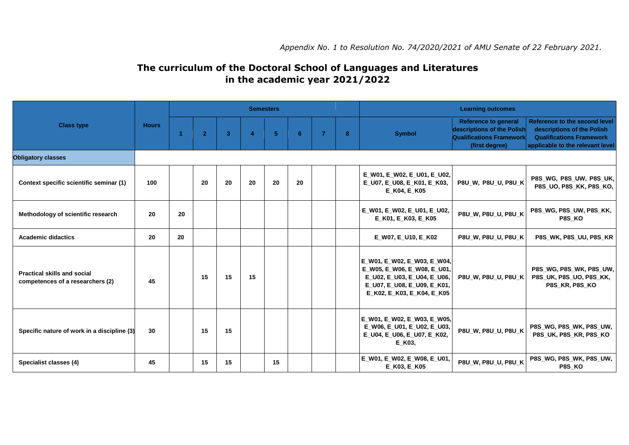## **The curriculum of the Doctoral School of Languages and Literatures in the academic year 2021/2022**

| <b>Class type</b>                                                      | <b>Hours</b> | <b>Semesters</b> |                |                         |                |    |    |                |   | <b>Learning outcomes</b>                                                                                                                               |                                                                                                                |                                                                                                                                    |
|------------------------------------------------------------------------|--------------|------------------|----------------|-------------------------|----------------|----|----|----------------|---|--------------------------------------------------------------------------------------------------------------------------------------------------------|----------------------------------------------------------------------------------------------------------------|------------------------------------------------------------------------------------------------------------------------------------|
|                                                                        |              | -4               | $\overline{2}$ | $\overline{\mathbf{3}}$ | $\overline{a}$ | -5 | 6  | $\overline{7}$ | 8 | <b>Symbol</b>                                                                                                                                          | <b>Reference to general</b><br>descriptions of the Polish<br><b>Qualifications Framework</b><br>(first degree) | Reference to the second level<br>descriptions of the Polish<br><b>Qualifications Framework</b><br>applicable to the relevant level |
| <b>Obligatory classes</b>                                              |              |                  |                |                         |                |    |    |                |   |                                                                                                                                                        |                                                                                                                |                                                                                                                                    |
| Context specific scientific seminar (1)                                | 100          |                  | 20             | 20                      | 20             | 20 | 20 |                |   | E_W01, E_W02, E_U01, E_U02,<br>E_U07, E_U08, E_K01, E_K03,<br>E K04, E K05                                                                             | P8U_W, P8U_U, P8U_K                                                                                            | P8S_WG, P8S_UW, P8S_UK,<br><b>P8S UO, P8S KK, P8S KO,</b>                                                                          |
| Methodology of scientific research                                     | 20           | 20               |                |                         |                |    |    |                |   | E_W01, E_W02, E_U01, E_U02,<br>E_K01, E_K03, E_K05                                                                                                     | P8U_W, P8U_U, P8U_K                                                                                            | P8S_WG, P8S_UW, P8S_KK,<br>P8S KO                                                                                                  |
| <b>Academic didactics</b>                                              | 20           | 20               |                |                         |                |    |    |                |   | E_W07, E_U10, E_K02                                                                                                                                    | P8U_W, P8U_U, P8U_K                                                                                            | P8S_WK, P8S_UU, P8S_KR                                                                                                             |
| <b>Practical skills and social</b><br>competences of a researchers (2) | 45           |                  | 15             | 15                      | 15             |    |    |                |   | E_W01, E_W02, E_W03, E_W04,<br>E W05, E W06, E W08, E U01,<br>E_U02, E_U03, E_U04, E_U06,<br>E_U07, E_U08, E_U09, E_K01,<br>E K02, E K03, E K04, E K05 | <b>P8U W, P8U U, P8U K</b>                                                                                     | P8S_WG, P8S_WK, P8S_UW,<br>P8S_UK, P8S_UO, P8S_KK,<br>P8S KR, P8S KO                                                               |
| Specific nature of work in a discipline (3)                            | 30           |                  | 15             | 15                      |                |    |    |                |   | E_W01, E_W02, E_W03, E_W05,<br>E_W06, E_U01, E_U02, E_U03,<br>E_U04, E_U06, E_U07, E_K02,<br>E_K03,                                                    | P8U_W, P8U_U, P8U_K                                                                                            | P8S_WG, P8S_WK, P8S_UW,<br>P8S UK, P8S KR, P8S KO                                                                                  |
| Specialist classes (4)                                                 | 45           |                  | 15             | 15                      |                | 15 |    |                |   | E_W01, E_W02, E_W08, E_U01,<br>E_K03, E_K05                                                                                                            | P8U_W, P8U_U, P8U_K                                                                                            | P8S_WG, P8S_WK, P8S_UW,<br>P8S_KO                                                                                                  |